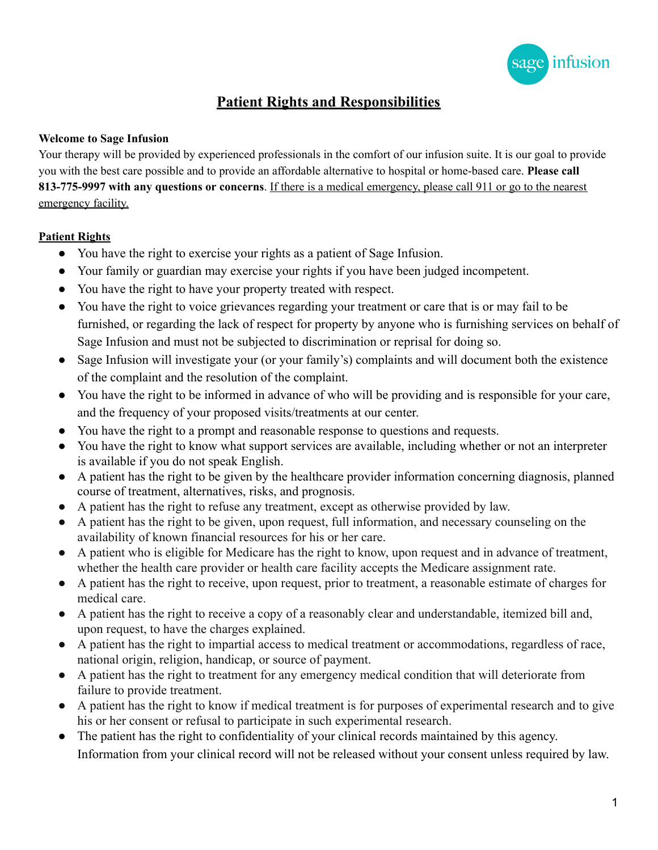

## **Patient Rights and Responsibilities**

## **Welcome to Sage Infusion**

Your therapy will be provided by experienced professionals in the comfort of our infusion suite. It is our goal to provide you with the best care possible and to provide an affordable alternative to hospital or home-based care. **Please call 813-775-9997 with any questions or concerns**. If there is a medical emergency, please call 911 or go to the nearest emergency facility.

## **Patient Rights**

- You have the right to exercise your rights as a patient of Sage Infusion.
- Your family or guardian may exercise your rights if you have been judged incompetent.
- You have the right to have your property treated with respect.
- You have the right to voice grievances regarding your treatment or care that is or may fail to be furnished, or regarding the lack of respect for property by anyone who is furnishing services on behalf of Sage Infusion and must not be subjected to discrimination or reprisal for doing so.
- Sage Infusion will investigate your (or your family's) complaints and will document both the existence of the complaint and the resolution of the complaint.
- You have the right to be informed in advance of who will be providing and is responsible for your care, and the frequency of your proposed visits/treatments at our center.
- You have the right to a prompt and reasonable response to questions and requests.
- You have the right to know what support services are available, including whether or not an interpreter is available if you do not speak English.
- A patient has the right to be given by the healthcare provider information concerning diagnosis, planned course of treatment, alternatives, risks, and prognosis.
- A patient has the right to refuse any treatment, except as otherwise provided by law.
- A patient has the right to be given, upon request, full information, and necessary counseling on the availability of known financial resources for his or her care.
- A patient who is eligible for Medicare has the right to know, upon request and in advance of treatment, whether the health care provider or health care facility accepts the Medicare assignment rate.
- A patient has the right to receive, upon request, prior to treatment, a reasonable estimate of charges for medical care.
- A patient has the right to receive a copy of a reasonably clear and understandable, itemized bill and, upon request, to have the charges explained.
- A patient has the right to impartial access to medical treatment or accommodations, regardless of race, national origin, religion, handicap, or source of payment.
- A patient has the right to treatment for any emergency medical condition that will deteriorate from failure to provide treatment.
- A patient has the right to know if medical treatment is for purposes of experimental research and to give his or her consent or refusal to participate in such experimental research.
- The patient has the right to confidentiality of your clinical records maintained by this agency. Information from your clinical record will not be released without your consent unless required by law.